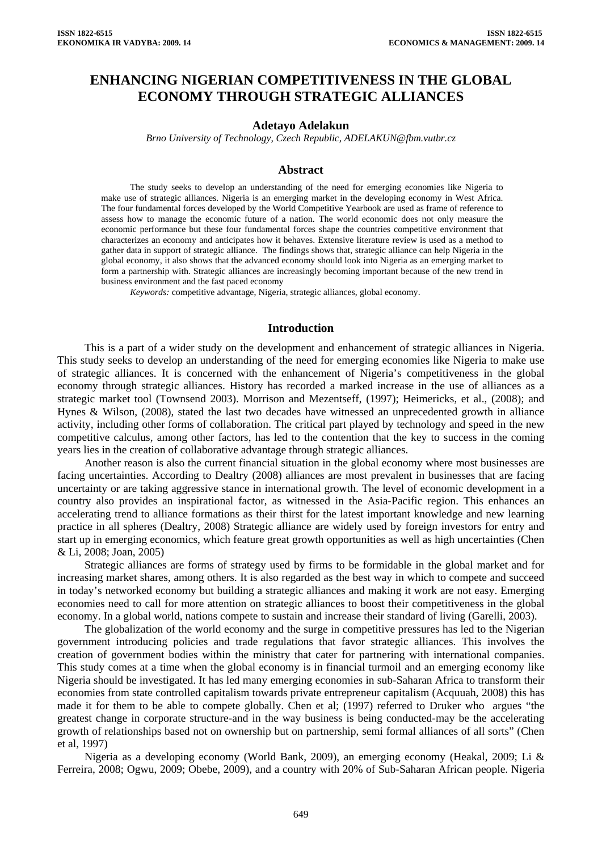# **ENHANCING NIGERIAN COMPETITIVENESS IN THE GLOBAL ECONOMY THROUGH STRATEGIC ALLIANCES**

#### **Adetayo Adelakun**

*Brno University of Technology, Czech Republic, ADELAKUN@fbm.vutbr.cz* 

#### **Abstract**

The study seeks to develop an understanding of the need for emerging economies like Nigeria to make use of strategic alliances. Nigeria is an emerging market in the developing economy in West Africa. The four fundamental forces developed by the World Competitive Yearbook are used as frame of reference to assess how to manage the economic future of a nation. The world economic does not only measure the economic performance but these four fundamental forces shape the countries competitive environment that characterizes an economy and anticipates how it behaves. Extensive literature review is used as a method to gather data in support of strategic alliance. The findings shows that, strategic alliance can help Nigeria in the global economy, it also shows that the advanced economy should look into Nigeria as an emerging market to form a partnership with. Strategic alliances are increasingly becoming important because of the new trend in business environment and the fast paced economy

*Keywords:* competitive advantage, Nigeria, strategic alliances, global economy.

### **Introduction**

This is a part of a wider study on the development and enhancement of strategic alliances in Nigeria. This study seeks to develop an understanding of the need for emerging economies like Nigeria to make use of strategic alliances. It is concerned with the enhancement of Nigeria's competitiveness in the global economy through strategic alliances. History has recorded a marked increase in the use of alliances as a strategic market tool (Townsend 2003). Morrison and Mezentseff, (1997); Heimericks, et al., (2008); and Hynes & Wilson, (2008), stated the last two decades have witnessed an unprecedented growth in alliance activity, including other forms of collaboration. The critical part played by technology and speed in the new competitive calculus, among other factors, has led to the contention that the key to success in the coming years lies in the creation of collaborative advantage through strategic alliances.

Another reason is also the current financial situation in the global economy where most businesses are facing uncertainties. According to Dealtry (2008) alliances are most prevalent in businesses that are facing uncertainty or are taking aggressive stance in international growth. The level of economic development in a country also provides an inspirational factor, as witnessed in the Asia-Pacific region. This enhances an accelerating trend to alliance formations as their thirst for the latest important knowledge and new learning practice in all spheres (Dealtry, 2008) Strategic alliance are widely used by foreign investors for entry and start up in emerging economics, which feature great growth opportunities as well as high uncertainties (Chen & Li, 2008; Joan, 2005)

Strategic alliances are forms of strategy used by firms to be formidable in the global market and for increasing market shares, among others. It is also regarded as the best way in which to compete and succeed in today's networked economy but building a strategic alliances and making it work are not easy. Emerging economies need to call for more attention on strategic alliances to boost their competitiveness in the global economy. In a global world, nations compete to sustain and increase their standard of living (Garelli, 2003).

The globalization of the world economy and the surge in competitive pressures has led to the Nigerian government introducing policies and trade regulations that favor strategic alliances. This involves the creation of government bodies within the ministry that cater for partnering with international companies. This study comes at a time when the global economy is in financial turmoil and an emerging economy like Nigeria should be investigated. It has led many emerging economies in sub-Saharan Africa to transform their economies from state controlled capitalism towards private entrepreneur capitalism (Acquuah, 2008) this has made it for them to be able to compete globally. Chen et al; (1997) referred to Druker who argues "the greatest change in corporate structure-and in the way business is being conducted-may be the accelerating growth of relationships based not on ownership but on partnership, semi formal alliances of all sorts" (Chen et al, 1997)

Nigeria as a developing economy (World Bank, 2009), an emerging economy (Heakal, 2009; Li & Ferreira, 2008; Ogwu, 2009; Obebe, 2009), and a country with 20% of Sub-Saharan African people. Nigeria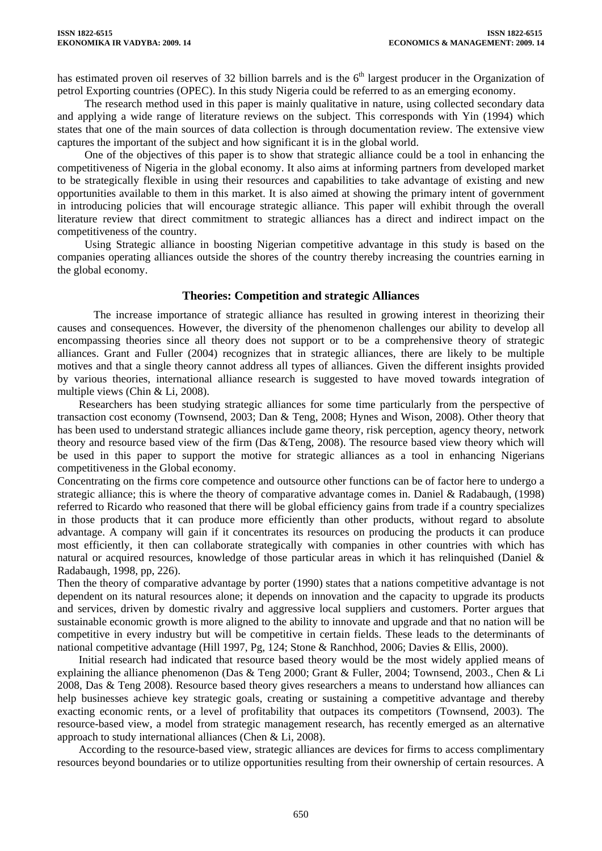has estimated proven oil reserves of 32 billion barrels and is the  $6<sup>th</sup>$  largest producer in the Organization of petrol Exporting countries (OPEC). In this study Nigeria could be referred to as an emerging economy.

The research method used in this paper is mainly qualitative in nature, using collected secondary data and applying a wide range of literature reviews on the subject. This corresponds with Yin (1994) which states that one of the main sources of data collection is through documentation review. The extensive view captures the important of the subject and how significant it is in the global world.

One of the objectives of this paper is to show that strategic alliance could be a tool in enhancing the competitiveness of Nigeria in the global economy. It also aims at informing partners from developed market to be strategically flexible in using their resources and capabilities to take advantage of existing and new opportunities available to them in this market. It is also aimed at showing the primary intent of government in introducing policies that will encourage strategic alliance. This paper will exhibit through the overall literature review that direct commitment to strategic alliances has a direct and indirect impact on the competitiveness of the country.

Using Strategic alliance in boosting Nigerian competitive advantage in this study is based on the companies operating alliances outside the shores of the country thereby increasing the countries earning in the global economy.

#### **Theories: Competition and strategic Alliances**

The increase importance of strategic alliance has resulted in growing interest in theorizing their causes and consequences. However, the diversity of the phenomenon challenges our ability to develop all encompassing theories since all theory does not support or to be a comprehensive theory of strategic alliances. Grant and Fuller (2004) recognizes that in strategic alliances, there are likely to be multiple motives and that a single theory cannot address all types of alliances. Given the different insights provided by various theories, international alliance research is suggested to have moved towards integration of multiple views (Chin & Li, 2008).

Researchers has been studying strategic alliances for some time particularly from the perspective of transaction cost economy (Townsend, 2003; Dan & Teng, 2008; Hynes and Wison, 2008). Other theory that has been used to understand strategic alliances include game theory, risk perception, agency theory, network theory and resource based view of the firm (Das &Teng, 2008). The resource based view theory which will be used in this paper to support the motive for strategic alliances as a tool in enhancing Nigerians competitiveness in the Global economy.

Concentrating on the firms core competence and outsource other functions can be of factor here to undergo a strategic alliance; this is where the theory of comparative advantage comes in. Daniel & Radabaugh, (1998) referred to Ricardo who reasoned that there will be global efficiency gains from trade if a country specializes in those products that it can produce more efficiently than other products, without regard to absolute advantage. A company will gain if it concentrates its resources on producing the products it can produce most efficiently, it then can collaborate strategically with companies in other countries with which has natural or acquired resources, knowledge of those particular areas in which it has relinquished (Daniel & Radabaugh, 1998, pp, 226).

Then the theory of comparative advantage by porter (1990) states that a nations competitive advantage is not dependent on its natural resources alone; it depends on innovation and the capacity to upgrade its products and services, driven by domestic rivalry and aggressive local suppliers and customers. Porter argues that sustainable economic growth is more aligned to the ability to innovate and upgrade and that no nation will be competitive in every industry but will be competitive in certain fields. These leads to the determinants of national competitive advantage (Hill 1997, Pg, 124; Stone & Ranchhod, 2006; Davies & Ellis, 2000).

Initial research had indicated that resource based theory would be the most widely applied means of explaining the alliance phenomenon (Das & Teng 2000; Grant & Fuller, 2004; Townsend, 2003., Chen & Li 2008, Das & Teng 2008). Resource based theory gives researchers a means to understand how alliances can help businesses achieve key strategic goals, creating or sustaining a competitive advantage and thereby exacting economic rents, or a level of profitability that outpaces its competitors (Townsend, 2003). The resource-based view, a model from strategic management research, has recently emerged as an alternative approach to study international alliances (Chen & Li, 2008).

According to the resource-based view, strategic alliances are devices for firms to access complimentary resources beyond boundaries or to utilize opportunities resulting from their ownership of certain resources. A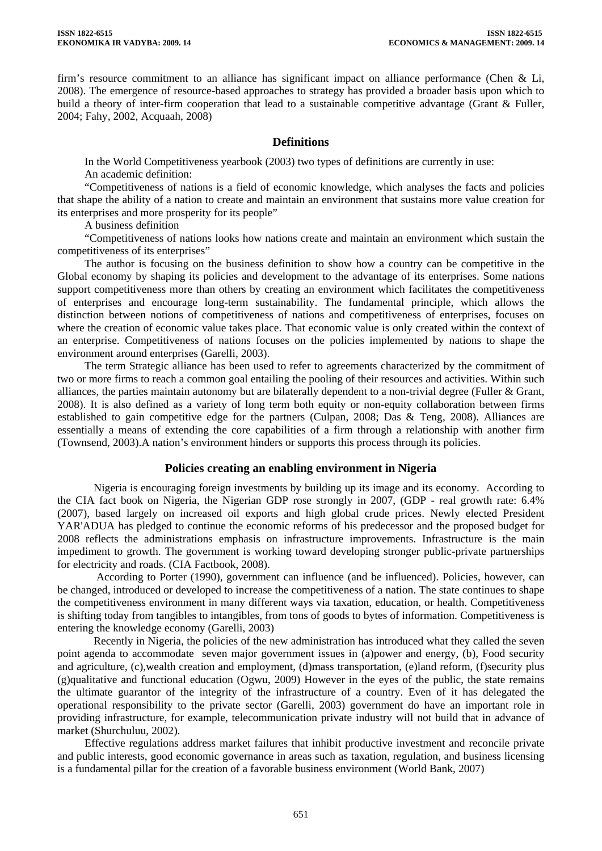firm's resource commitment to an alliance has significant impact on alliance performance (Chen & Li, 2008). The emergence of resource-based approaches to strategy has provided a broader basis upon which to build a theory of inter-firm cooperation that lead to a sustainable competitive advantage (Grant & Fuller, 2004; Fahy, 2002, Acquaah, 2008)

# **Definitions**

In the World Competitiveness yearbook (2003) two types of definitions are currently in use: An academic definition:

"Competitiveness of nations is a field of economic knowledge, which analyses the facts and policies that shape the ability of a nation to create and maintain an environment that sustains more value creation for its enterprises and more prosperity for its people"

A business definition

"Competitiveness of nations looks how nations create and maintain an environment which sustain the competitiveness of its enterprises"

The author is focusing on the business definition to show how a country can be competitive in the Global economy by shaping its policies and development to the advantage of its enterprises. Some nations support competitiveness more than others by creating an environment which facilitates the competitiveness of enterprises and encourage long-term sustainability. The fundamental principle, which allows the distinction between notions of competitiveness of nations and competitiveness of enterprises, focuses on where the creation of economic value takes place. That economic value is only created within the context of an enterprise. Competitiveness of nations focuses on the policies implemented by nations to shape the environment around enterprises (Garelli, 2003).

The term Strategic alliance has been used to refer to agreements characterized by the commitment of two or more firms to reach a common goal entailing the pooling of their resources and activities. Within such alliances, the parties maintain autonomy but are bilaterally dependent to a non-trivial degree (Fuller & Grant, 2008). It is also defined as a variety of long term both equity or non-equity collaboration between firms established to gain competitive edge for the partners (Culpan, 2008; Das & Teng, 2008). Alliances are essentially a means of extending the core capabilities of a firm through a relationship with another firm (Townsend, 2003).A nation's environment hinders or supports this process through its policies.

# **Policies creating an enabling environment in Nigeria**

Nigeria is encouraging foreign investments by building up its image and its economy. According to the CIA fact book on Nigeria, the Nigerian GDP rose strongly in 2007, (GDP - real growth rate: 6.4% (2007), based largely on increased oil exports and high global crude prices. Newly elected President YAR'ADUA has pledged to continue the economic reforms of his predecessor and the proposed budget for 2008 reflects the administrations emphasis on infrastructure improvements. Infrastructure is the main impediment to growth. The government is working toward developing stronger public-private partnerships for electricity and roads. (CIA Factbook, 2008).

 According to Porter (1990), government can influence (and be influenced). Policies, however, can be changed, introduced or developed to increase the competitiveness of a nation. The state continues to shape the competitiveness environment in many different ways via taxation, education, or health. Competitiveness is shifting today from tangibles to intangibles, from tons of goods to bytes of information. Competitiveness is entering the knowledge economy (Garelli, 2003)

Recently in Nigeria, the policies of the new administration has introduced what they called the seven point agenda to accommodate seven major government issues in (a)power and energy, (b), Food security and agriculture, (c),wealth creation and employment, (d)mass transportation, (e)land reform, (f)security plus (g)qualitative and functional education (Ogwu, 2009) However in the eyes of the public, the state remains the ultimate guarantor of the integrity of the infrastructure of a country. Even of it has delegated the operational responsibility to the private sector (Garelli, 2003) government do have an important role in providing infrastructure, for example, telecommunication private industry will not build that in advance of market (Shurchuluu, 2002).

Effective regulations address market failures that inhibit productive investment and reconcile private and public interests, good economic governance in areas such as taxation, regulation, and business licensing is a fundamental pillar for the creation of a favorable business environment (World Bank, 2007)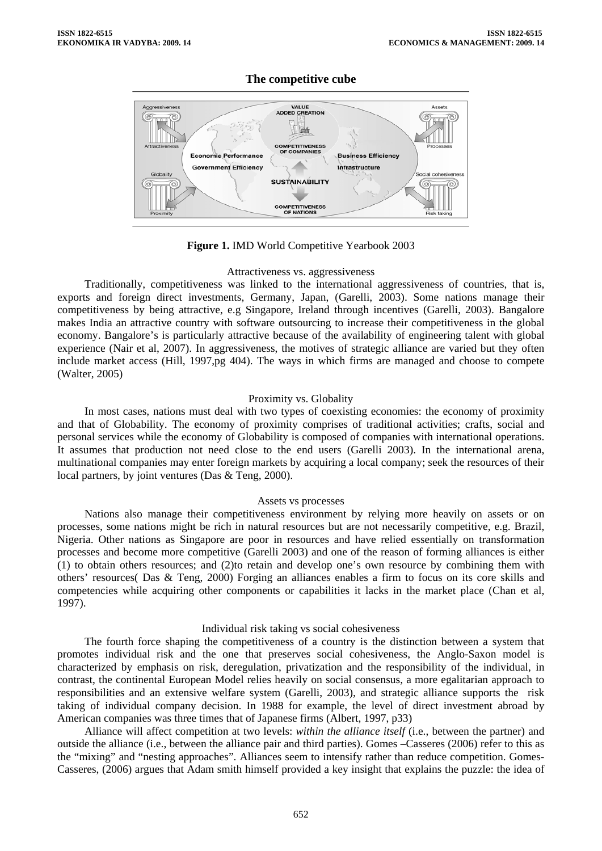# **The competitive cube**



**Figure 1.** IMD World Competitive Yearbook 2003

#### Attractiveness vs. aggressiveness

Traditionally, competitiveness was linked to the international aggressiveness of countries, that is, exports and foreign direct investments, Germany, Japan, (Garelli, 2003). Some nations manage their competitiveness by being attractive, e.g Singapore, Ireland through incentives (Garelli, 2003). Bangalore makes India an attractive country with software outsourcing to increase their competitiveness in the global economy. Bangalore's is particularly attractive because of the availability of engineering talent with global experience (Nair et al, 2007). In aggressiveness, the motives of strategic alliance are varied but they often include market access (Hill, 1997,pg 404). The ways in which firms are managed and choose to compete (Walter, 2005)

# Proximity vs. Globality

In most cases, nations must deal with two types of coexisting economies: the economy of proximity and that of Globability. The economy of proximity comprises of traditional activities; crafts, social and personal services while the economy of Globability is composed of companies with international operations. It assumes that production not need close to the end users (Garelli 2003). In the international arena, multinational companies may enter foreign markets by acquiring a local company; seek the resources of their local partners, by joint ventures (Das & Teng, 2000).

# Assets vs processes

Nations also manage their competitiveness environment by relying more heavily on assets or on processes, some nations might be rich in natural resources but are not necessarily competitive, e.g. Brazil, Nigeria. Other nations as Singapore are poor in resources and have relied essentially on transformation processes and become more competitive (Garelli 2003) and one of the reason of forming alliances is either (1) to obtain others resources; and (2)to retain and develop one's own resource by combining them with others' resources( Das & Teng, 2000) Forging an alliances enables a firm to focus on its core skills and competencies while acquiring other components or capabilities it lacks in the market place (Chan et al, 1997).

# Individual risk taking vs social cohesiveness

The fourth force shaping the competitiveness of a country is the distinction between a system that promotes individual risk and the one that preserves social cohesiveness, the Anglo-Saxon model is characterized by emphasis on risk, deregulation, privatization and the responsibility of the individual, in contrast, the continental European Model relies heavily on social consensus, a more egalitarian approach to responsibilities and an extensive welfare system (Garelli, 2003), and strategic alliance supports the risk taking of individual company decision. In 1988 for example, the level of direct investment abroad by American companies was three times that of Japanese firms (Albert, 1997, p33)

Alliance will affect competition at two levels: *within the alliance itself* (i.e., between the partner) and outside the alliance (i.e., between the alliance pair and third parties). Gomes –Casseres (2006) refer to this as the "mixing" and "nesting approaches". Alliances seem to intensify rather than reduce competition. Gomes-Casseres, (2006) argues that Adam smith himself provided a key insight that explains the puzzle: the idea of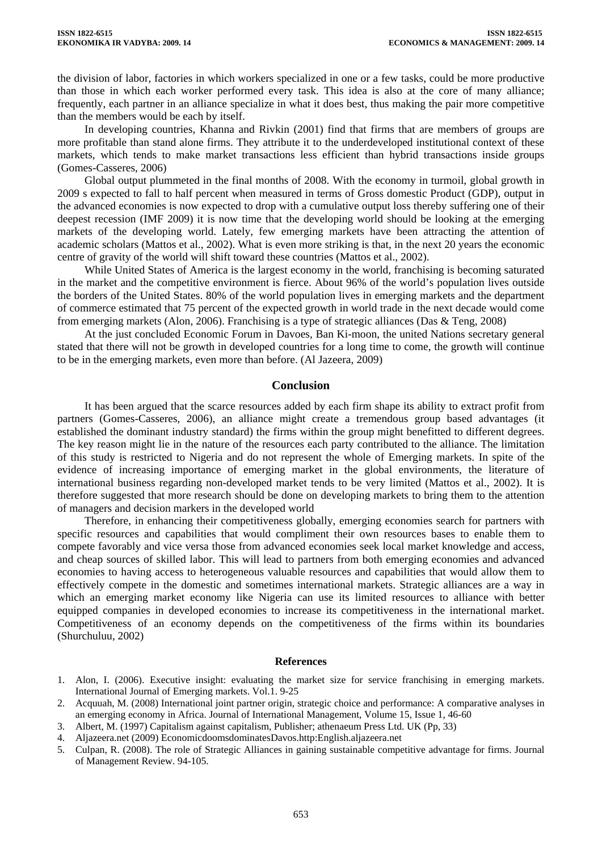the division of labor, factories in which workers specialized in one or a few tasks, could be more productive than those in which each worker performed every task. This idea is also at the core of many alliance; frequently, each partner in an alliance specialize in what it does best, thus making the pair more competitive than the members would be each by itself.

In developing countries, Khanna and Rivkin (2001) find that firms that are members of groups are more profitable than stand alone firms. They attribute it to the underdeveloped institutional context of these markets, which tends to make market transactions less efficient than hybrid transactions inside groups (Gomes-Casseres, 2006)

Global output plummeted in the final months of 2008. With the economy in turmoil, global growth in 2009 s expected to fall to half percent when measured in terms of Gross domestic Product (GDP), output in the advanced economies is now expected to drop with a cumulative output loss thereby suffering one of their deepest recession (IMF 2009) it is now time that the developing world should be looking at the emerging markets of the developing world. Lately, few emerging markets have been attracting the attention of academic scholars (Mattos et al., 2002). What is even more striking is that, in the next 20 years the economic centre of gravity of the world will shift toward these countries (Mattos et al., 2002).

While United States of America is the largest economy in the world, franchising is becoming saturated in the market and the competitive environment is fierce. About 96% of the world's population lives outside the borders of the United States. 80% of the world population lives in emerging markets and the department of commerce estimated that 75 percent of the expected growth in world trade in the next decade would come from emerging markets (Alon, 2006). Franchising is a type of strategic alliances (Das & Teng, 2008)

At the just concluded Economic Forum in Davoes, Ban Ki-moon, the united Nations secretary general stated that there will not be growth in developed countries for a long time to come, the growth will continue to be in the emerging markets, even more than before. (Al Jazeera, 2009)

#### **Conclusion**

It has been argued that the scarce resources added by each firm shape its ability to extract profit from partners (Gomes-Casseres, 2006), an alliance might create a tremendous group based advantages (it established the dominant industry standard) the firms within the group might benefitted to different degrees. The key reason might lie in the nature of the resources each party contributed to the alliance. The limitation of this study is restricted to Nigeria and do not represent the whole of Emerging markets. In spite of the evidence of increasing importance of emerging market in the global environments, the literature of international business regarding non-developed market tends to be very limited (Mattos et al., 2002). It is therefore suggested that more research should be done on developing markets to bring them to the attention of managers and decision markers in the developed world

Therefore, in enhancing their competitiveness globally, emerging economies search for partners with specific resources and capabilities that would compliment their own resources bases to enable them to compete favorably and vice versa those from advanced economies seek local market knowledge and access, and cheap sources of skilled labor. This will lead to partners from both emerging economies and advanced economies to having access to heterogeneous valuable resources and capabilities that would allow them to effectively compete in the domestic and sometimes international markets. Strategic alliances are a way in which an emerging market economy like Nigeria can use its limited resources to alliance with better equipped companies in developed economies to increase its competitiveness in the international market. Competitiveness of an economy depends on the competitiveness of the firms within its boundaries (Shurchuluu, 2002)

#### **References**

- 1. Alon, I. (2006). Executive insight: evaluating the market size for service franchising in emerging markets. International Journal of Emerging markets. Vol.1. 9-25
- 2. Acquuah, M. (2008) International joint partner origin, strategic choice and performance: A comparative analyses in an emerging economy in Africa. Journal of International Management, Volume 15, Issue 1, 46-60
- 3. Albert, M. (1997) Capitalism against capitalism, Publisher; athenaeum Press Ltd. UK (Pp, 33)
- 4. Aljazeera.net (2009) EconomicdoomsdominatesDavos.http:English.aljazeera.net
- 5. Culpan, R. (2008). The role of Strategic Alliances in gaining sustainable competitive advantage for firms. Journal of Management Review. 94-105.